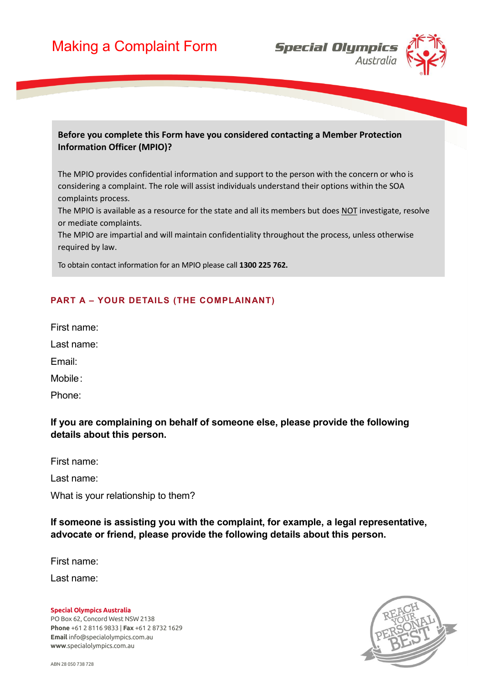

#### **Before you complete this Form have you considered contacting a Member Protection Information Officer (MPIO)?**

The MPIO provides confidential information and support to the person with the concern or who is considering a complaint. The role will assist individuals understand their options within the SOA complaints process.

The MPIO is available as a resource for the state and all its members but does NOT investigate, resolve or mediate complaints.

The MPIO are impartial and will maintain confidentiality throughout the process, unless otherwise required by law.

To obtain contact information for an MPIO please call **1300 225 762.**

### **PART A – YOUR DETAILS (THE COMPLAINANT)**

First name:

Last name:

Email:

Mobile:

Phone:

## **If you are complaining on behalf of someone else, please provide the following details about this person.**

First name:

Last name:

What is your relationship to them?

**If someone is assisting you with the complaint, for example, a legal representative, advocate or friend, please provide the following details about this person.** 

First name:

Last name:

#### **Special Olympics Australia**

PO Box 62, Concord West NSW 2138 **Phone** +61 2 8116 9833 | **Fax** +61 2 8732 1629 **Email** info@specialolympics.com.au **www**.specialolympics.com.au

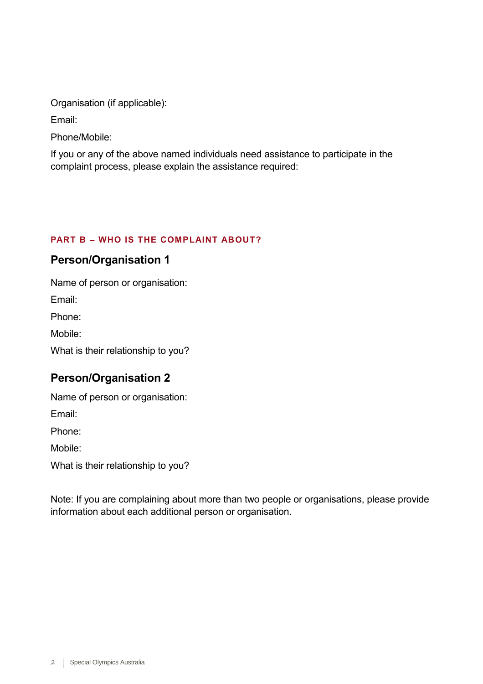Organisation (if applicable):

Email:

Phone/Mobile:

If you or any of the above named individuals need assistance to participate in the complaint process, please explain the assistance required:

# **PART B – WHO IS THE COMPLAINT ABOUT?**

# **Person/Organisation 1**

Name of person or organisation: Email: Phone: Mobile: What is their relationship to you?

# **Person/Organisation 2**

Name of person or organisation:

Email:

Phone:

Mobile:

What is their relationship to you?

Note: If you are complaining about more than two people or organisations, please provide information about each additional person or organisation.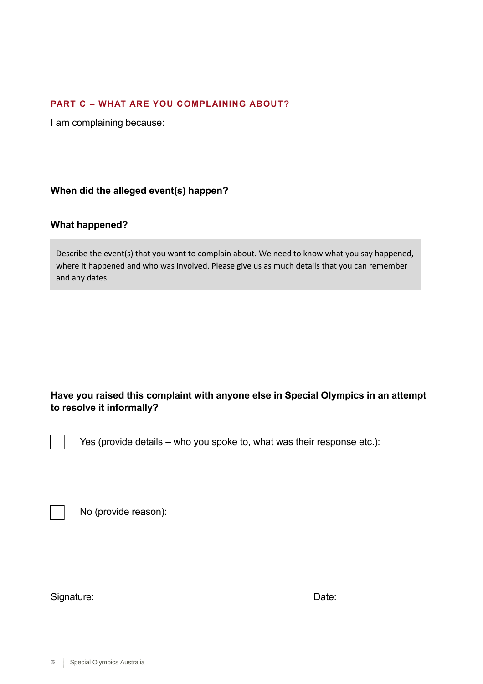#### **PART C – WHAT ARE YOU COMPLAINING ABOUT?**

I am complaining because:

**When did the alleged event(s) happen?** 

#### **What happened?**

Describe the event(s) that you want to complain about. We need to know what you say happened, where it happened and who was involved. Please give us as much details that you can remember and any dates.

## **Have you raised this complaint with anyone else in Special Olympics in an attempt to resolve it informally?**

Yes (provide details – who you spoke to, what was their response etc.):

No (provide reason):

Signature: Date: Date: Date: Date: Date: Date: Date: Date: Date: Date: Date: Date: Date: Date: Date: Date: Date: Date: Date: Date: Date: Date: Date: Date: Date: Date: Date: Date: Date: Date: Date: Date: Date: Date: Date: D